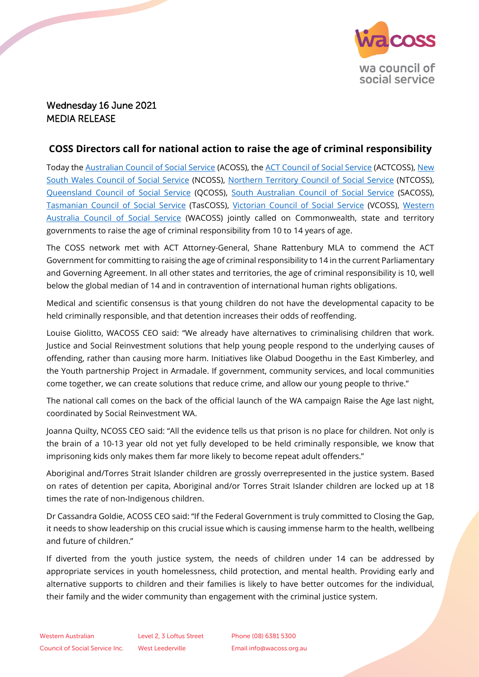

## Wednesday 16 June 2021 MEDIA RELEASE

## **COSS Directors call for national action to raise the age of criminal responsibility**

Today the [Australian Council of Social Service](https://www.acoss.org.au/) (ACOSS), the [ACT Council of Social Service](https://www.actcoss.org.au/) (ACTCOSS), New [South Wales Council of Social Service](https://www.ncoss.org.au/) (NCOSS), [Northern Territory Council of Social Service](https://ntcoss.org.au/) (NTCOSS), [Queensland Council of Social Service](https://www.qcoss.org.au/) (QCOSS), [South Australian Council of Social Service](https://www.sacoss.org.au/) (SACOSS), [Tasmanian Council of Social Service](https://tascoss.org.au/) (TasCOSS), [Victorian Council of Social Service](https://vcoss.org.au/) (VCOSS), [Western](https://wacoss.org.au/)  [Australia Council of Social Service](https://wacoss.org.au/) (WACOSS) jointly called on Commonwealth, state and territory governments to raise the age of criminal responsibility from 10 to 14 years of age.

The COSS network met with ACT Attorney-General, Shane Rattenbury MLA to commend the ACT Government for committing to raising the age of criminal responsibility to 14 in the current Parliamentary and Governing Agreement. In all other states and territories, the age of criminal responsibility is 10, well below the global median of 14 and in contravention of international human rights obligations.

Medical and scientific consensus is that young children do not have the developmental capacity to be held criminally responsible, and that detention increases their odds of reoffending.

Louise Giolitto, WACOSS CEO said: "We already have alternatives to criminalising children that work. Justice and Social Reinvestment solutions that help young people respond to the underlying causes of offending, rather than causing more harm. Initiatives like Olabud Doogethu in the East Kimberley, and the Youth partnership Project in Armadale. If government, community services, and local communities come together, we can create solutions that reduce crime, and allow our young people to thrive."

The national call comes on the back of the official launch of the WA campaign Raise the Age last night, coordinated by Social Reinvestment WA.

Joanna Quilty, NCOSS CEO said: "All the evidence tells us that prison is no place for children. Not only is the brain of a 10-13 year old not yet fully developed to be held criminally responsible, we know that imprisoning kids only makes them far more likely to become repeat adult offenders."

Aboriginal and/Torres Strait Islander children are grossly overrepresented in the justice system. Based on rates of detention per capita, Aboriginal and/or Torres Strait Islander children are locked up at 18 times the rate of non-Indigenous children.

Dr Cassandra Goldie, ACOSS CEO said: "If the Federal Government is truly committed to Closing the Gap, it needs to show leadership on this crucial issue which is causing immense harm to the health, wellbeing and future of children."

If diverted from the youth justice system, the needs of children under 14 can be addressed by appropriate services in youth homelessness, child protection, and mental health. Providing early and alternative supports to children and their families is likely to have better outcomes for the individual, their family and the wider community than engagement with the criminal justice system.

Phone (08) 6381 5300 Email info@wacoss.org.au